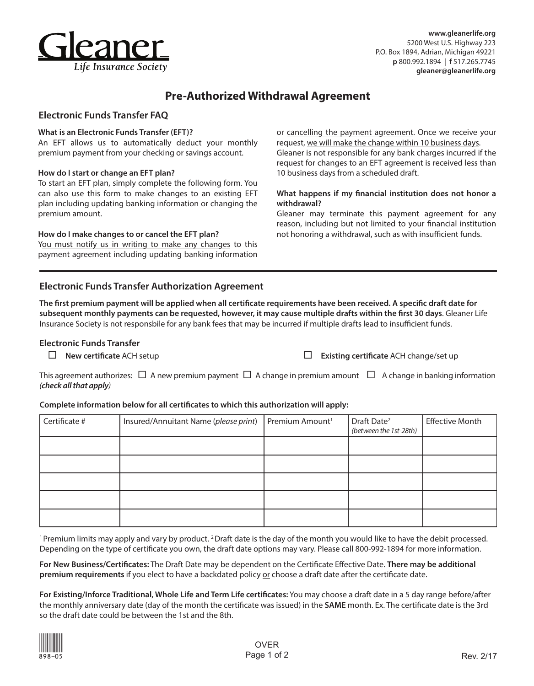

# **Pre-Authorized Withdrawal Agreement**

## **Electronic Funds Transfer FAQ**

## **What is an Electronic Funds Transfer (EFT)?**

An EFT allows us to automatically deduct your monthly premium payment from your checking or savings account.

## **How do I start or change an EFT plan?**

To start an EFT plan, simply complete the following form. You can also use this form to make changes to an existing EFT plan including updating banking information or changing the premium amount.

## **How do I make changes to or cancel the EFT plan?**

You must notify us in writing to make any changes to this payment agreement including updating banking information

## **Electronic Funds Transfer Authorization Agreement**

**The first premium payment will be applied when all certificate requirements have been received. A specific draft date for subsequent monthly payments can be requested, however, it may cause multiple drafts within the first 30 days**. Gleaner Life Insurance Society is not responsbile for any bank fees that may be incurred if multiple drafts lead to insufficient funds.

## **Electronic Funds Transfer**

request, we will make the change within 10 business days. Gleaner is not responsible for any bank charges incurred if the request for changes to an EFT agreement is received less than 10 business days from a scheduled draft.

or cancelling the payment agreement. Once we receive your

## **What happens if my financial institution does not honor a withdrawal?**

Gleaner may terminate this payment agreement for any reason, including but not limited to your financial institution not honoring a withdrawal, such as with insufficient funds.

**New certificate** ACH setup **Existing certificate** ACH change/set up

This agreement authorizes:  $\Box$  A new premium payment  $\Box$  A change in premium amount  $\Box$  A change in banking information *(check all that apply)* 

## **Complete information below for all certificates to which this authorization will apply:**

| Certificate # | Insured/Annuitant Name (please print) | Premium Amount <sup>1</sup> | Draft Date <sup>2</sup><br>(between the 1st-28th) | <b>Effective Month</b> |
|---------------|---------------------------------------|-----------------------------|---------------------------------------------------|------------------------|
|               |                                       |                             |                                                   |                        |
|               |                                       |                             |                                                   |                        |
|               |                                       |                             |                                                   |                        |
|               |                                       |                             |                                                   |                        |
|               |                                       |                             |                                                   |                        |

<sup>1</sup> Premium limits may apply and vary by product. <sup>2</sup> Draft date is the day of the month you would like to have the debit processed. Depending on the type of certificate you own, the draft date options may vary. Please call 800-992-1894 for more information.

**For New Business/Certificates:** The Draft Date may be dependent on the Certificate Effective Date. **There may be additional premium requirements** if you elect to have a backdated policy or choose a draft date after the certificate date.

**For Existing/Inforce Traditional, Whole Life and Term Life certificates:** You may choose a draft date in a 5 day range before/after the monthly anniversary date (day of the month the certificate was issued) in the **SAME** month. Ex. The certificate date is the 3rd so the draft date could be between the 1st and the 8th.